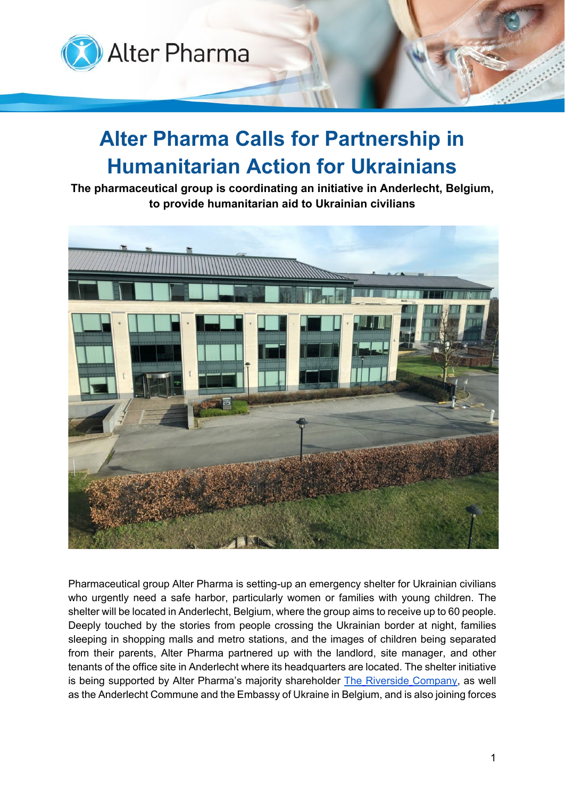

## **Alter Pharma Calls for Partnership in Humanitarian Action for Ukrainians**

**The pharmaceutical group is coordinating an initiative in Anderlecht, Belgium, to provide humanitarian aid to Ukrainian civilians**



Pharmaceutical group Alter Pharma is setting-up an emergency shelter for Ukrainian civilians who urgently need a safe harbor, particularly women or families with young children. The shelter will be located in Anderlecht, Belgium, where the group aims to receive up to 60 people. Deeply touched by the stories from people crossing the Ukrainian border at night, families sleeping in shopping malls and metro stations, and the images of children being separated from their parents, Alter Pharma partnered up with the landlord, site manager, and other tenants of the office site in Anderlecht where its headquarters are located. The shelter initiative is being supported by Alter Pharma's majority shareholder The Riverside [Company,](https://www.riversidecompany.com/) as well as the Anderlecht Commune and the Embassy of Ukraine in Belgium, and is also joining forces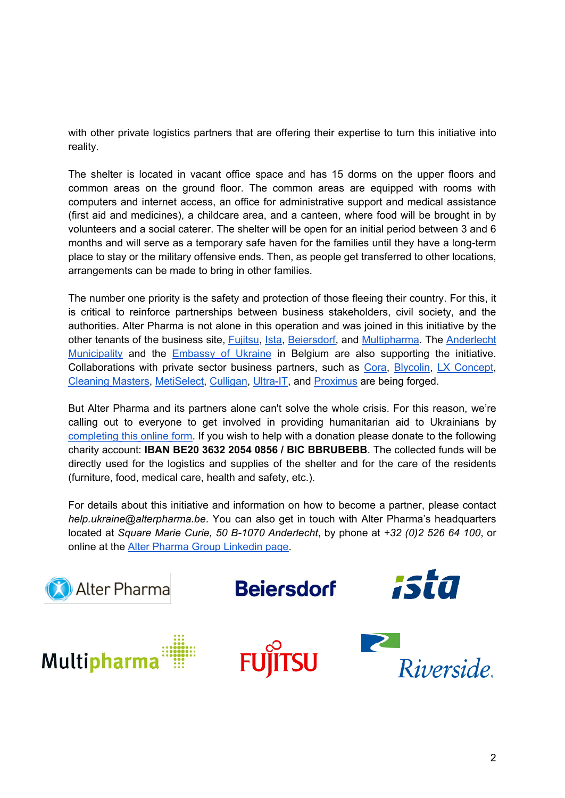with other private logistics partners that are offering their expertise to turn this initiative into reality.

The shelter is located in vacant office space and has 15 dorms on the upper floors and common areas on the ground floor. The common areas are equipped with rooms with computers and internet access, an office for administrative support and medical assistance (first aid and medicines), a childcare area, and a canteen, where food will be brought in by volunteers and a social caterer. The shelter will be open for an initial period between 3 and 6 months and will serve as a temporary safe haven for the families until they have a long-term place to stay or the military offensive ends. Then, as people get transferred to other locations, arrangements can be made to bring in other families.

The number one priority is the safety and protection of those fleeing their country. For this, it is critical to reinforce partnerships between business stakeholders, civil society, and the authorities. Alter Pharma is not alone in this operation and was joined in this initiative by the other tenants of the business site, [Fujitsu,](https://www.fujitsu.com/be/) [Ista,](https://www.ista.com/be/) [Beiersdorf,](https://www.beiersdorf.com/) and [Multipharma.](https://www.multipharma.be/fr/?gclid=Cj0KCQjw29CRBhCUARIsAOboZbLF_z3loFOHiO8fP0j8tWf0pxtUjZn_lqgOrt7M_y-iUjSXBsFvf64aAkjMEALw_wcB) The [Anderlecht](https://www.anderlecht.be/) [Municipality](https://www.anderlecht.be/) and the Embassy [of Ukraine](https://l.facebook.com/l.php?u=http%3A%2F%2Fbelgium.mfa.gov.ua%2Fen&h=AT36CcPpEf4MurvXZWq-MCrA8ypB4fA7sR8OF0nzU8wU8GD2lx9D0F6Lz1pRPvVLWDv4cAKRjIS8hfG4faV4czIaDvq1fOo_bl0OAAv4OyPcu8Jk5JkkAcTz0tHmHqUOnDl6ApnGHrnRg_nbMgDJhxPzIF0fMVIsEFZHEIuubOg) in Belgium are also supporting the initiative. Collaborations with private sector business partners, such as [Cora,](https://www.cora.be/) [Blycolin,](https://www.blycolin.com/be-nl/) [LX Concept,](https://www.lxconcept.com/) [Cleaning](https://www.multimasters.be/nl/cleaning-masters/) Masters, [MetiSelect,](https://www.metiselect.be/) [Culligan,](https://www.culligan.be/nl) [Ultra-IT,](http://www.ultra-it.com/?lg=nl) and [Proximus](https://www.proximus.be/en/id_personal/personal.html) are being forged.

But Alter Pharma and its partners alone can't solve the whole crisis. For this reason, we're calling out to everyone to get involved in providing humanitarian aid to Ukrainians by [completing](https://eur03.safelinks.protection.outlook.com/?url=https%3A%2F%2Fforms.office.com%2Fr%2FiwM2tn695z&data=04%7C01%7Celisa.f%40znconsulting.com%7C06689cf82a6247d69c7308da025f4dfc%7C1123ff36fbf941a880db41eb9c8b2b77%7C1%7C0%7C637824905621214014%7CUnknown%7CTWFpbGZsb3d8eyJWIjoiMC4wLjAwMDAiLCJQIjoiV2luMzIiLCJBTiI6Ik1haWwiLCJXVCI6Mn0%3D%7C3000&sdata=wW1nQ4phm99ynk25bCjvrKu5VWWsC9Mi6n3tG%2B6snKU%3D&reserved=0) this online form. If you wish to help with a donation please donate to the following charity account: **IBAN BE20 3632 2054 0856 / BIC BBRUBEBB**. The collected funds will be directly used for the logistics and supplies of the shelter and for the care of the residents (furniture, food, medical care, health and safety, etc.).

For details about this initiative and information on how to become a partner, please contact *help.ukraine@alterpharma.be*. You can also get in touch with Alter Pharma's headquarters located at *Square Marie Curie, 50 B-1070 Anderlecht*, by phone at *+32 (0)2 526 64 100*, or online at the [Alter Pharma Group Linkedin page.](https://www.linkedin.com/company/alter-pharma/)